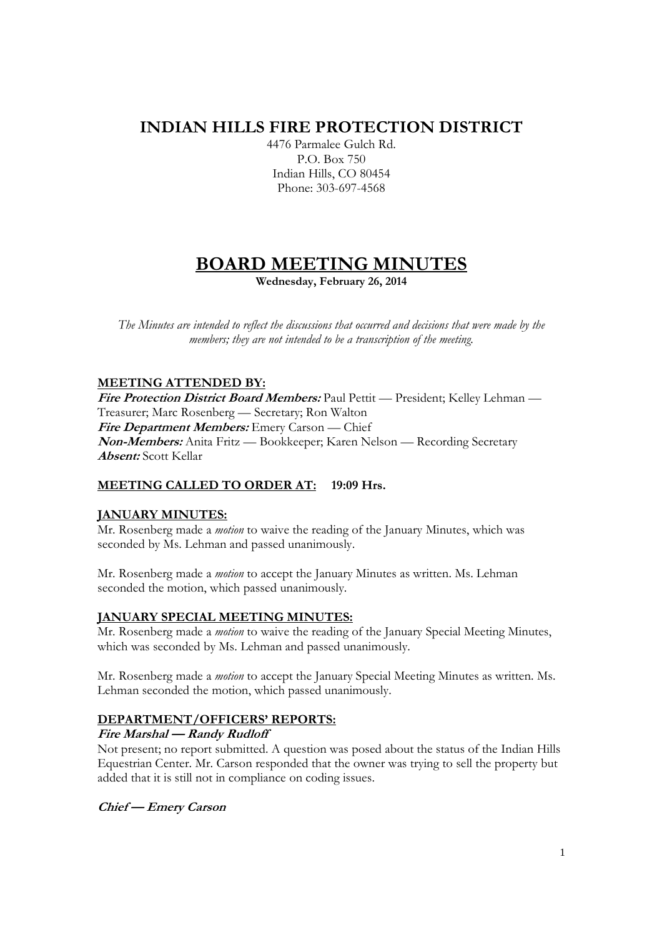## **INDIAN HILLS FIRE PROTECTION DISTRICT**

4476 Parmalee Gulch Rd. P.O. Box 750 Indian Hills, CO 80454 Phone: 303-697-4568

# **BOARD MEETING MINUTES**

**Wednesday, February 26, 2014** 

*The Minutes are intended to reflect the discussions that occurred and decisions that were made by the members; they are not intended to be a transcription of the meeting.* 

## **MEETING ATTENDED BY:**

**Fire Protection District Board Members:** Paul Pettit — President; Kelley Lehman — Treasurer; Marc Rosenberg — Secretary; Ron Walton **Fire Department Members:** Emery Carson — Chief **Non-Members:** Anita Fritz — Bookkeeper; Karen Nelson — Recording Secretary **Absent:** Scott Kellar

## **MEETING CALLED TO ORDER AT: 19:09 Hrs.**

## **JANUARY MINUTES:**

Mr. Rosenberg made a *motion* to waive the reading of the January Minutes, which was seconded by Ms. Lehman and passed unanimously.

Mr. Rosenberg made a *motion* to accept the January Minutes as written. Ms. Lehman seconded the motion, which passed unanimously.

## **JANUARY SPECIAL MEETING MINUTES:**

Mr. Rosenberg made a *motion* to waive the reading of the January Special Meeting Minutes, which was seconded by Ms. Lehman and passed unanimously.

Mr. Rosenberg made a *motion* to accept the January Special Meeting Minutes as written. Ms. Lehman seconded the motion, which passed unanimously.

## **DEPARTMENT/OFFICERS' REPORTS:**

## **Fire Marshal — Randy Rudloff**

Not present; no report submitted. A question was posed about the status of the Indian Hills Equestrian Center. Mr. Carson responded that the owner was trying to sell the property but added that it is still not in compliance on coding issues.

## **Chief — Emery Carson**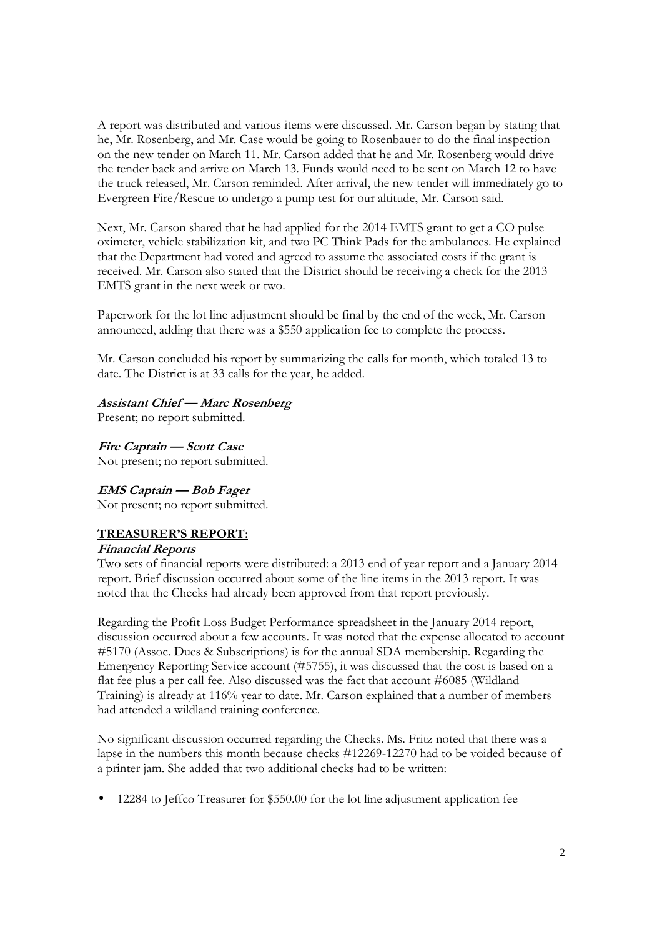A report was distributed and various items were discussed. Mr. Carson began by stating that he, Mr. Rosenberg, and Mr. Case would be going to Rosenbauer to do the final inspection on the new tender on March 11. Mr. Carson added that he and Mr. Rosenberg would drive the tender back and arrive on March 13. Funds would need to be sent on March 12 to have the truck released, Mr. Carson reminded. After arrival, the new tender will immediately go to Evergreen Fire/Rescue to undergo a pump test for our altitude, Mr. Carson said.

Next, Mr. Carson shared that he had applied for the 2014 EMTS grant to get a CO pulse oximeter, vehicle stabilization kit, and two PC Think Pads for the ambulances. He explained that the Department had voted and agreed to assume the associated costs if the grant is received. Mr. Carson also stated that the District should be receiving a check for the 2013 EMTS grant in the next week or two.

Paperwork for the lot line adjustment should be final by the end of the week, Mr. Carson announced, adding that there was a \$550 application fee to complete the process.

Mr. Carson concluded his report by summarizing the calls for month, which totaled 13 to date. The District is at 33 calls for the year, he added.

#### **Assistant Chief — Marc Rosenberg**

Present; no report submitted.

**Fire Captain — Scott Case**  Not present; no report submitted.

## **EMS Captain — Bob Fager**

Not present; no report submitted.

## **TREASURER'S REPORT:**

#### **Financial Reports**

Two sets of financial reports were distributed: a 2013 end of year report and a January 2014 report. Brief discussion occurred about some of the line items in the 2013 report. It was noted that the Checks had already been approved from that report previously.

Regarding the Profit Loss Budget Performance spreadsheet in the January 2014 report, discussion occurred about a few accounts. It was noted that the expense allocated to account #5170 (Assoc. Dues & Subscriptions) is for the annual SDA membership. Regarding the Emergency Reporting Service account (#5755), it was discussed that the cost is based on a flat fee plus a per call fee. Also discussed was the fact that account #6085 (Wildland Training) is already at 116% year to date. Mr. Carson explained that a number of members had attended a wildland training conference.

No significant discussion occurred regarding the Checks. Ms. Fritz noted that there was a lapse in the numbers this month because checks #12269-12270 had to be voided because of a printer jam. She added that two additional checks had to be written:

• 12284 to Jeffco Treasurer for \$550.00 for the lot line adjustment application fee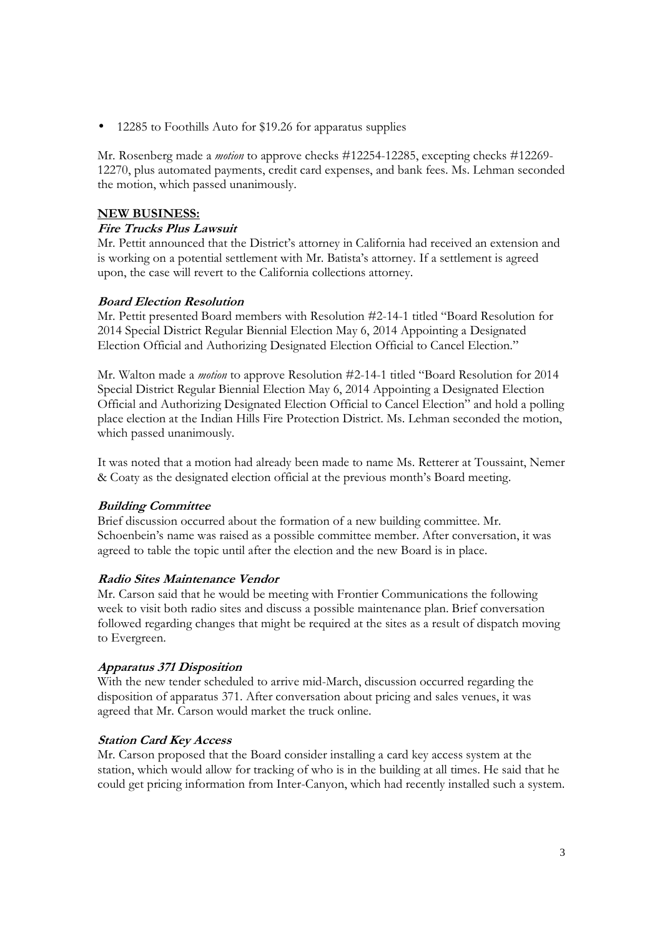• 12285 to Foothills Auto for \$19.26 for apparatus supplies

Mr. Rosenberg made a *motion* to approve checks #12254-12285, excepting checks #12269- 12270, plus automated payments, credit card expenses, and bank fees. Ms. Lehman seconded the motion, which passed unanimously.

### **NEW BUSINESS:**

### **Fire Trucks Plus Lawsuit**

Mr. Pettit announced that the District's attorney in California had received an extension and is working on a potential settlement with Mr. Batista's attorney. If a settlement is agreed upon, the case will revert to the California collections attorney.

#### **Board Election Resolution**

Mr. Pettit presented Board members with Resolution #2-14-1 titled "Board Resolution for 2014 Special District Regular Biennial Election May 6, 2014 Appointing a Designated Election Official and Authorizing Designated Election Official to Cancel Election."

Mr. Walton made a *motion* to approve Resolution #2-14-1 titled "Board Resolution for 2014 Special District Regular Biennial Election May 6, 2014 Appointing a Designated Election Official and Authorizing Designated Election Official to Cancel Election" and hold a polling place election at the Indian Hills Fire Protection District. Ms. Lehman seconded the motion, which passed unanimously.

It was noted that a motion had already been made to name Ms. Retterer at Toussaint, Nemer & Coaty as the designated election official at the previous month's Board meeting.

## **Building Committee**

Brief discussion occurred about the formation of a new building committee. Mr. Schoenbein's name was raised as a possible committee member. After conversation, it was agreed to table the topic until after the election and the new Board is in place.

#### **Radio Sites Maintenance Vendor**

Mr. Carson said that he would be meeting with Frontier Communications the following week to visit both radio sites and discuss a possible maintenance plan. Brief conversation followed regarding changes that might be required at the sites as a result of dispatch moving to Evergreen.

#### **Apparatus 371 Disposition**

With the new tender scheduled to arrive mid-March, discussion occurred regarding the disposition of apparatus 371. After conversation about pricing and sales venues, it was agreed that Mr. Carson would market the truck online.

#### **Station Card Key Access**

Mr. Carson proposed that the Board consider installing a card key access system at the station, which would allow for tracking of who is in the building at all times. He said that he could get pricing information from Inter-Canyon, which had recently installed such a system.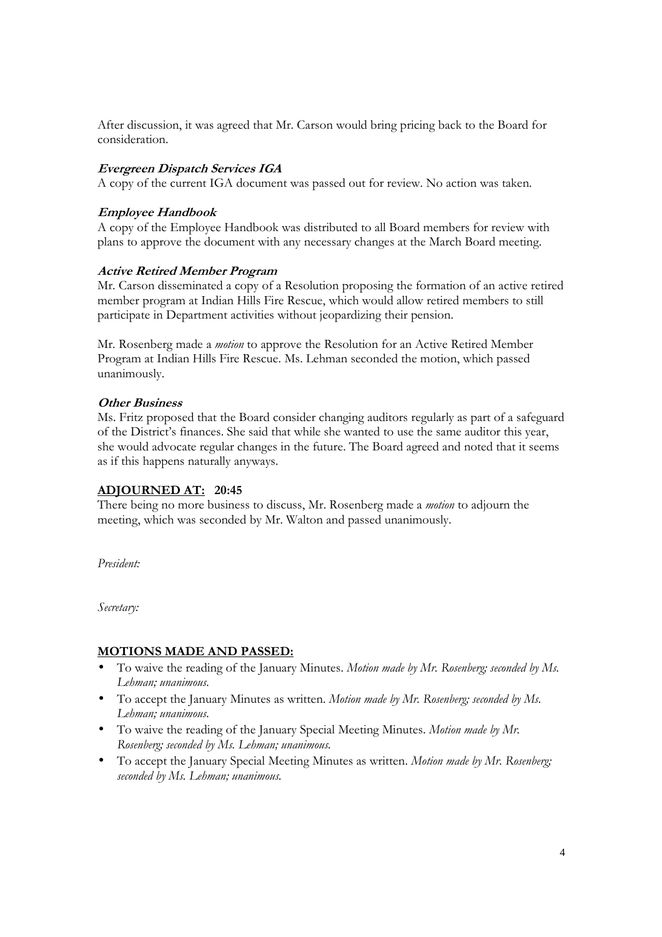After discussion, it was agreed that Mr. Carson would bring pricing back to the Board for consideration.

### **Evergreen Dispatch Services IGA**

A copy of the current IGA document was passed out for review. No action was taken.

#### **Employee Handbook**

A copy of the Employee Handbook was distributed to all Board members for review with plans to approve the document with any necessary changes at the March Board meeting.

#### **Active Retired Member Program**

Mr. Carson disseminated a copy of a Resolution proposing the formation of an active retired member program at Indian Hills Fire Rescue, which would allow retired members to still participate in Department activities without jeopardizing their pension.

Mr. Rosenberg made a *motion* to approve the Resolution for an Active Retired Member Program at Indian Hills Fire Rescue. Ms. Lehman seconded the motion, which passed unanimously.

#### **Other Business**

Ms. Fritz proposed that the Board consider changing auditors regularly as part of a safeguard of the District's finances. She said that while she wanted to use the same auditor this year, she would advocate regular changes in the future. The Board agreed and noted that it seems as if this happens naturally anyways.

#### **ADJOURNED AT: 20:45**

There being no more business to discuss, Mr. Rosenberg made a *motion* to adjourn the meeting, which was seconded by Mr. Walton and passed unanimously.

*President:* 

*Secretary:* 

#### **MOTIONS MADE AND PASSED:**

- To waive the reading of the January Minutes. *Motion made by Mr. Rosenberg; seconded by Ms. Lehman; unanimous.*
- To accept the January Minutes as written. *Motion made by Mr. Rosenberg; seconded by Ms. Lehman; unanimous.*
- To waive the reading of the January Special Meeting Minutes. *Motion made by Mr. Rosenberg; seconded by Ms. Lehman; unanimous.*
- To accept the January Special Meeting Minutes as written. *Motion made by Mr. Rosenberg; seconded by Ms. Lehman; unanimous.*